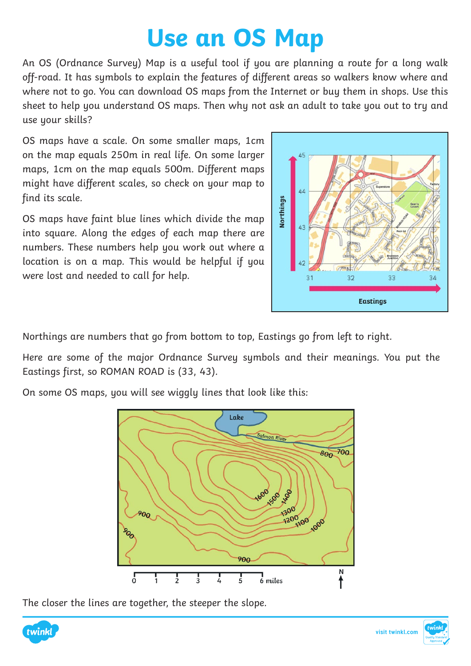## **Use an OS Map**

An OS (Ordnance Survey) Map is a useful tool if you are planning a route for a long walk off-road. It has symbols to explain the features of different areas so walkers know where and where not to go. You can download OS maps from the Internet or buy them in shops. Use this sheet to help you understand OS maps. Then why not ask an adult to take you out to try and use your skills?

OS maps have a scale. On some smaller maps, 1cm on the map equals 250m in real life. On some larger maps, 1cm on the map equals 500m. Different maps might have different scales, so check on your map to find its scale.

OS maps have faint blue lines which divide the map into square. Along the edges of each map there are numbers. These numbers help you work out where a location is on a map. This would be helpful if you were lost and needed to call for help.



Northings are numbers that go from bottom to top, Eastings go from left to right.

Here are some of the major Ordnance Survey symbols and their meanings. You put the Eastings first, so ROMAN ROAD is (33, 43).

On some OS maps, you will see wiggly lines that look like this:



The closer the lines are together, the steeper the slope.